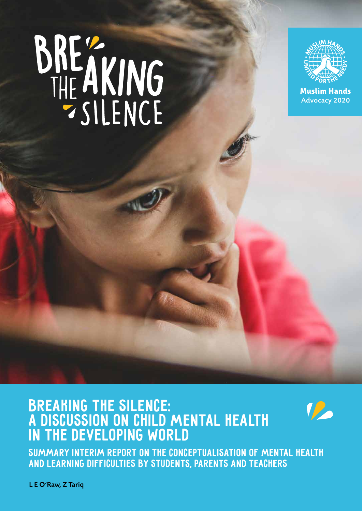# BREAKING



**Muslim Hands** Advocacy 2020

#### Breaking the Silence: a discussion on child mental health in the developing world



SUMMARY interim report on the conceptualisation of mental health and learning difficulties by students, parents and teachers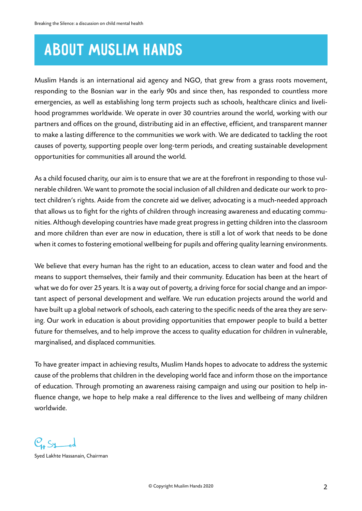# ABOUT MUSLIM HANDS

Muslim Hands is an international aid agency and NGO, that grew from a grass roots movement, responding to the Bosnian war in the early 90s and since then, has responded to countless more emergencies, as well as establishing long term projects such as schools, healthcare clinics and livelihood programmes worldwide. We operate in over 30 countries around the world, working with our partners and offices on the ground, distributing aid in an effective, efficient, and transparent manner to make a lasting difference to the communities we work with. We are dedicated to tackling the root causes of poverty, supporting people over long-term periods, and creating sustainable development opportunities for communities all around the world.

As a child focused charity, our aim is to ensure that we are at the forefront in responding to those vulnerable children. We want to promote the social inclusion of all children and dedicate our work to protect children's rights. Aside from the concrete aid we deliver, advocating is a much-needed approach that allows us to fight for the rights of children through increasing awareness and educating communities. Although developing countries have made great progress in getting children into the classroom and more children than ever are now in education, there is still a lot of work that needs to be done when it comes to fostering emotional wellbeing for pupils and offering quality learning environments.

We believe that every human has the right to an education, access to clean water and food and the means to support themselves, their family and their community. Education has been at the heart of what we do for over 25 years. It is a way out of poverty, a driving force for social change and an important aspect of personal development and welfare. We run education projects around the world and have built up a global network of schools, each catering to the specific needs of the area they are serving. Our work in education is about providing opportunities that empower people to build a better future for themselves, and to help improve the access to quality education for children in vulnerable, marginalised, and displaced communities.

To have greater impact in achieving results, Muslim Hands hopes to advocate to address the systemic cause of the problems that children in the developing world face and inform those on the importance of education. Through promoting an awareness raising campaign and using our position to help influence change, we hope to help make a real difference to the lives and wellbeing of many children worldwide.

 $C_{1}S_{1}$ 

Syed Lakhte Hassanain, Chairman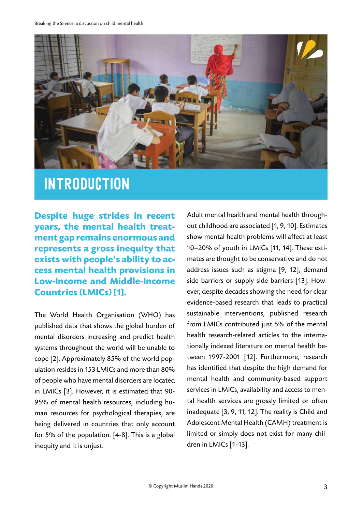

#### **INTRODUCTION**

**Despite huge strides in recent years, the mental health treatment gap remains enormous and represents a gross inequity that exists with people's ability to access mental health provisions in Low-Income and Middle-Income Countries (LMICs) [1].** 

The World Health Organisation (WHO) has published data that shows the global burden of mental disorders increasing and predict health systems throughout the world will be unable to cope [2]. Approximately 85% of the world population resides in 153 LMICs and more than 80% of people who have mental disorders are located in LMICs [3]. However, it is estimated that 90- 95% of mental health resources, including human resources for psychological therapies, are being delivered in countries that only account for 5% of the population. [4-8]. This is a global inequity and it is unjust.

Adult mental health and mental health throughout childhood are associated [1, 9, 10]. Estimates show mental health problems will affect at least 10–20% of youth in LMICs [11, 14]. These estimates are thought to be conservative and do not address issues such as stigma [9, 12], demand side barriers or supply side barriers [13]. However, despite decades showing the need for clear evidence-based research that leads to practical sustainable interventions, published research from LMICs contributed just 5% of the mental health research-related articles to the internationally indexed literature on mental health between 1997-2001 [12]. Furthermore, research has identified that despite the high demand for mental health and community-based support services in LMICs, availability and access to mental health services are grossly limited or often inadequate [3, 9, 11, 12]. The reality is Child and Adolescent Mental Health (CAMH) treatment is limited or simply does not exist for many children in LMICs [1-13].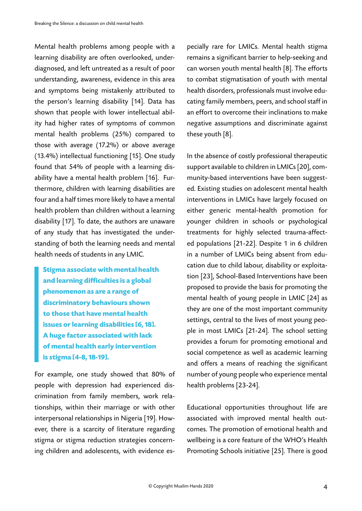Mental health problems among people with a learning disability are often overlooked, underdiagnosed, and left untreated as a result of poor understanding, awareness, evidence in this area and symptoms being mistakenly attributed to the person's learning disability [14]. Data has shown that people with lower intellectual ability had higher rates of symptoms of common mental health problems (25%) compared to those with average (17.2%) or above average (13.4%) intellectual functioning [15]. One study found that 54% of people with a learning disability have a mental health problem [16]. Furthermore, children with learning disabilities are four and a half times more likely to have a mental health problem than children without a learning disability [17]. To date, the authors are unaware of any study that has investigated the understanding of both the learning needs and mental health needs of students in any LMIC.

**Stigma associate with mental health and learning difficulties is a global phenomenon as are a range of discriminatory behaviours shown to those that have mental health issues or learning disabilities [6, 18]. A huge factor associated with lack of mental health early intervention is stigma [4-8, 18-19].** 

For example, one study showed that 80% of people with depression had experienced discrimination from family members, work relationships, within their marriage or with other interpersonal relationships in Nigeria [19]. However, there is a scarcity of literature regarding stigma or stigma reduction strategies concerning children and adolescents, with evidence es-

pecially rare for LMICs. Mental health stigma remains a significant barrier to help-seeking and can worsen youth mental health [8]. The efforts to combat stigmatisation of youth with mental health disorders, professionals must involve educating family members, peers, and school staff in an effort to overcome their inclinations to make negative assumptions and discriminate against these youth [8].

In the absence of costly professional therapeutic support available to children in LMICs [20], community-based interventions have been suggested. Existing studies on adolescent mental health interventions in LMICs have largely focused on either generic mental-health promotion for younger children in schools or psychological treatments for highly selected trauma-affected populations [21-22]. Despite 1 in 6 children in a number of LMICs being absent from education due to child labour, disability or exploitation [23], School-Based Interventions have been proposed to provide the basis for promoting the mental health of young people in LMIC [24] as they are one of the most important community settings, central to the lives of most young people in most LMICs [21-24]. The school setting provides a forum for promoting emotional and social competence as well as academic learning and offers a means of reaching the significant number of young people who experience mental health problems [23-24].

Educational opportunities throughout life are associated with improved mental health outcomes. The promotion of emotional health and wellbeing is a core feature of the WHO's Health Promoting Schools initiative [25]. There is good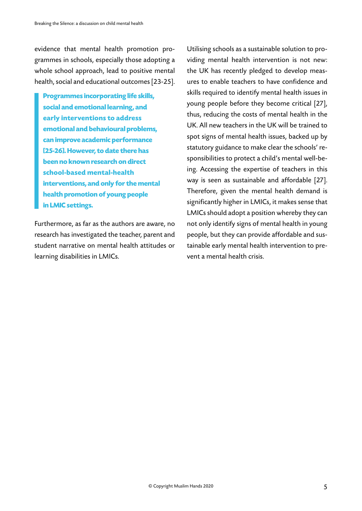evidence that mental health promotion programmes in schools, especially those adopting a whole school approach, lead to positive mental health, social and educational outcomes [23-25].

**Programmes incorporating life skills, social and emotional learning, and early interventions to address emotional and behavioural problems, can improve academic performance [25-26]. However, to date there has been no known research on direct school-based mental-health interventions, and only for the mental health promotion of young people in LMIC settings.**

Furthermore, as far as the authors are aware, no research has investigated the teacher, parent and student narrative on mental health attitudes or learning disabilities in LMICs.

Utilising schools as a sustainable solution to providing mental health intervention is not new: the UK has recently pledged to develop measures to enable teachers to have confidence and skills required to identify mental health issues in young people before they become critical [27], thus, reducing the costs of mental health in the UK. All new teachers in the UK will be trained to spot signs of mental health issues, backed up by statutory guidance to make clear the schools' responsibilities to protect a child's mental well-being. Accessing the expertise of teachers in this way is seen as sustainable and affordable [27]. Therefore, given the mental health demand is significantly higher in LMICs, it makes sense that LMICs should adopt a position whereby they can not only identify signs of mental health in young people, but they can provide affordable and sustainable early mental health intervention to prevent a mental health crisis.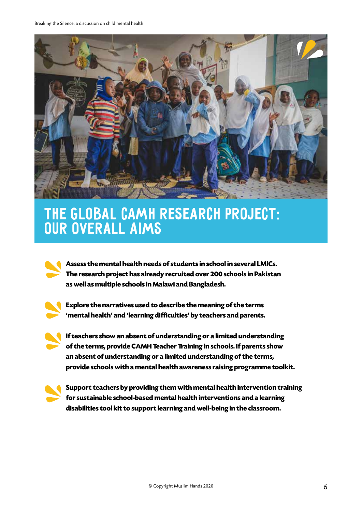

#### The Global CAMH Research Project: our overall aims

**Assess the mental health needs of students in school in several LMICs. The research project has already recruited over 200 schools in Pakistan as well as multiple schools in Malawi and Bangladesh.** 



**Explore the narratives used to describe the meaning of the terms 'mental health' and 'learning difficulties' by teachers and parents.** 

**If teachers show an absent of understanding or a limited understanding of the terms, provide CAMH Teacher Training in schools. If parents show an absent of understanding or a limited understanding of the terms, provide schools with a mental health awareness raising programme toolkit.** 



**Support teachers by providing them with mental health intervention training for sustainable school-based mental health interventions and a learning disabilities tool kit to support learning and well-being in the classroom.**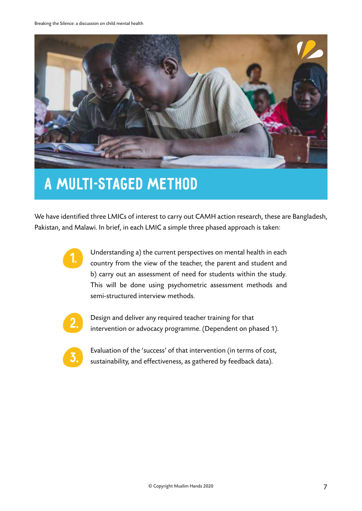

#### A Multi-Staged Method

We have identified three LMICs of interest to carry out CAMH action research, these are Bangladesh, Pakistan, and Malawi. In brief, in each LMIC a simple three phased approach is taken:



Understanding a) the current perspectives on mental health in each country from the view of the teacher, the parent and student and b) carry out an assessment of need for students within the study. This will be done using psychometric assessment methods and semi-structured interview methods.



Design and deliver any required teacher training for that intervention or advocacy programme. (Dependent on phased 1).



Evaluation of the 'success' of that intervention (in terms of cost, sustainability, and effectiveness, as gathered by feedback data).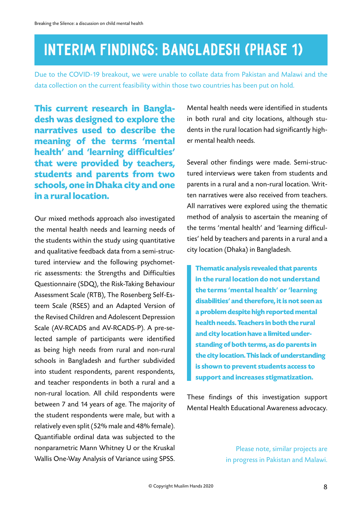#### Interim Findings: Bangladesh (Phase 1)

Due to the COVID-19 breakout, we were unable to collate data from Pakistan and Malawi and the data collection on the current feasibility within those two countries has been put on hold.

**This current research in Bangladesh was designed to explore the narratives used to describe the meaning of the terms 'mental health' and 'learning difficulties' that were provided by teachers, students and parents from two schools, one in Dhaka city and one in a rural location.** 

Our mixed methods approach also investigated the mental health needs and learning needs of the students within the study using quantitative and qualitative feedback data from a semi-structured interview and the following psychometric assessments: the Strengths and Difficulties Questionnaire (SDQ), the Risk-Taking Behaviour Assessment Scale (RTB), The Rosenberg Self-Esteem Scale (RSES) and an Adapted Version of the Revised Children and Adolescent Depression Scale (AV-RCADS and AV-RCADS-P). A pre-selected sample of participants were identified as being high needs from rural and non-rural schools in Bangladesh and further subdivided into student respondents, parent respondents, and teacher respondents in both a rural and a non-rural location. All child respondents were between 7 and 14 years of age. The majority of the student respondents were male, but with a relatively even split (52% male and 48% female). Quantifiable ordinal data was subjected to the nonparametric Mann Whitney U or the Kruskal Wallis One-Way Analysis of Variance using SPSS.

Mental health needs were identified in students in both rural and city locations, although students in the rural location had significantly higher mental health needs.

Several other findings were made. Semi-structured interviews were taken from students and parents in a rural and a non-rural location. Written narratives were also received from teachers. All narratives were explored using the thematic method of analysis to ascertain the meaning of the terms 'mental health' and 'learning difficulties' held by teachers and parents in a rural and a city location (Dhaka) in Bangladesh.

**Thematic analysis revealed that parents in the rural location do not understand the terms 'mental health' or 'learning disabilities' and therefore, it is not seen as a problem despite high reported mental health needs. Teachers in both the rural and city location have a limited understanding of both terms, as do parents in the city location. This lack of understanding is shown to prevent students access to support and increases stigmatization.** 

These findings of this investigation support Mental Health Educational Awareness advocacy.

> Please note, similar projects are in progress in Pakistan and Malawi.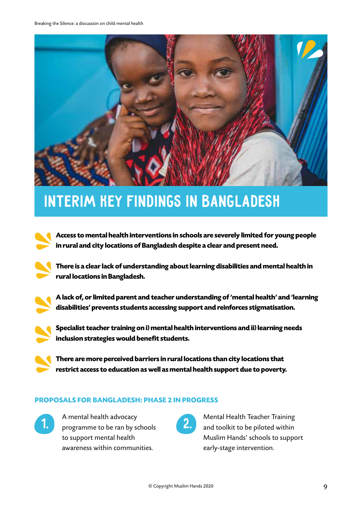

#### INTERIM KEY FINDINGS IN BANGLADESH

**Access to mental health interventions in schools are severely limited for young people in rural and city locations of Bangladesh despite a clear and present need.** 

**There is a clear lack of understanding about learning disabilities and mental health in rural locations in Bangladesh.** 

**A lack of, or limited parent and teacher understanding of 'mental health' and 'learning disabilities' prevents students accessing support and reinforces stigmatisation.** 

**Specialist teacher training on i) mental health interventions and ii) learning needs inclusion strategies would benefit students.** 

**There are more perceived barriers in rural locations than city locations that restrict access to education as well as mental health support due to poverty.**

#### **PROPOSALS FOR BANGLADESH: PHASE 2 IN PROGRESS**



A mental health advocacy 1. A mental health advocacy<br> **1.** programme to be ran by schools **2.** to support mental health awareness within communities.



Mental Health Teacher Training and toolkit to be piloted within Muslim Hands' schools to support early-stage intervention.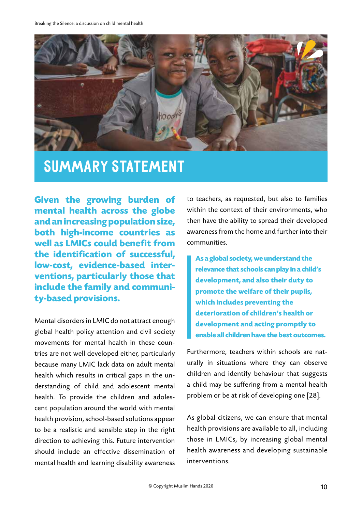

#### Summary statement

**Given the growing burden of mental health across the globe and an increasing population size, both high-income countries as well as LMICs could benefit from the identification of successful, low-cost, evidence-based interventions, particularly those that include the family and community-based provisions.** 

Mental disorders in LMIC do not attract enough global health policy attention and civil society movements for mental health in these countries are not well developed either, particularly because many LMIC lack data on adult mental health which results in critical gaps in the understanding of child and adolescent mental health. To provide the children and adolescent population around the world with mental health provision, school-based solutions appear to be a realistic and sensible step in the right direction to achieving this. Future intervention should include an effective dissemination of mental health and learning disability awareness

to teachers, as requested, but also to families within the context of their environments, who then have the ability to spread their developed awareness from the home and further into their communities.

**As a global society, we understand the relevance that schools can play in a child's development, and also their duty to promote the welfare of their pupils, which includes preventing the deterioration of children's health or development and acting promptly to enable all children have the best outcomes.** 

Furthermore, teachers within schools are naturally in situations where they can observe children and identify behaviour that suggests a child may be suffering from a mental health problem or be at risk of developing one [28].

As global citizens, we can ensure that mental health provisions are available to all, including those in LMICs, by increasing global mental health awareness and developing sustainable interventions.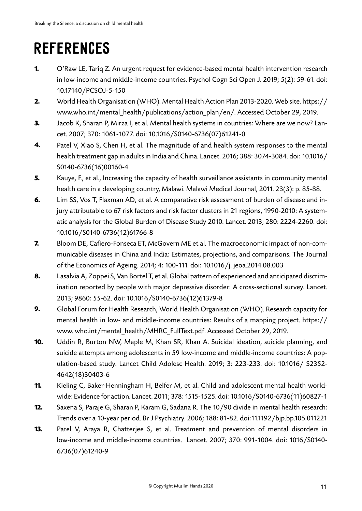# **REFERENCES**

- O'Raw LE, Tariq Z. An urgent request for evidence-based mental health intervention research in low-income and middle-income countries. Psychol Cogn Sci Open J. 2019; 5(2): 59-61. doi: 10.17140/PCSOJ-5-150 **1.**
- World Health Organisation (WHO). Mental Health Action Plan 2013-2020. Web site. https:// www.who.int/mental\_health/publications/action\_plan/en/. Accessed October 29, 2019. **2.**
- Jacob K, Sharan P, Mirza I, et al. Mental health systems in countries: Where are we now? Lancet. 2007; 370: 1061-1077. doi: 10.1016/S0140-6736(07)61241-0 **3.**
- Patel V, Xiao S, Chen H, et al. The magnitude of and health system responses to the mental health treatment gap in adults in India and China. Lancet. 2016; 388: 3074-3084. doi: 10.1016/ S0140-6736(16)00160-4 **4.**
- Kauye, F., et al., Increasing the capacity of health surveillance assistants in community mental health care in a developing country, Malawi. Malawi Medical Journal, 2011. 23(3): p. 85-88. **5.**
- Lim SS, Vos T, Flaxman AD, et al. A comparative risk assessment of burden of disease and injury attributable to 67 risk factors and risk factor clusters in 21 regions, 1990-2010: A systematic analysis for the Global Burden of Disease Study 2010. Lancet. 2013; 280: 2224-2260. doi: 10.1016/S0140-6736(12)61766-8 **6.**
- Bloom DE, Cafiero-Fonseca ET, McGovern ME et al. The macroeconomic impact of non-communicable diseases in China and India: Estimates, projections, and comparisons. The Journal of the Economics of Ageing. 2014; 4: 100-111. doi: 10.1016/j. jeoa.2014.08.003 **7.**
- Lasalvia A, Zoppei S, Van Bortel T, et al. Global pattern of experienced and anticipated discrimination reported by people with major depressive disorder: A cross-sectional survey. Lancet. 2013; 9860: 55-62. doi: 10.1016/S0140-6736(12)61379-8 **8.**
- Global Forum for Health Research, World Health Organisation (WHO). Research capacity for mental health in low- and middle-income countries: Results of a mapping project. https:// www. who.int/mental\_health/MHRC\_FullText.pdf. Accessed October 29, 2019. **9.**
- Uddin R, Burton NW, Maple M, Khan SR, Khan A. Suicidal ideation, suicide planning, and suicide attempts among adolescents in 59 low-income and middle-income countries: A population-based study. Lancet Child Adolesc Health. 2019; 3: 223-233. doi: 10.1016/ S2352- 4642(18)30403-6 **10.**
- Kieling C, Baker-Henningham H, Belfer M, et al. Child and adolescent mental health worldwide: Evidence for action. Lancet. 2011; 378: 1515-1525. doi: 10.1016/S0140-6736(11)60827-1 **11.**
- Saxena S, Paraje G, Sharan P, Karam G, Sadana R. The 10/90 divide in mental health research: Trends over a 10-year period. Br J Psychiatry. 2006; 188: 81-82. doi:11.1192/bjp.bp.105.011221 **12.**
- Patel V, Araya R, Chatterjee S, et al. Treatment and prevention of mental disorders in low-income and middle-income countries. Lancet. 2007; 370: 991-1004. doi: 1016/S0140- 6736(07)61240-9 **13.**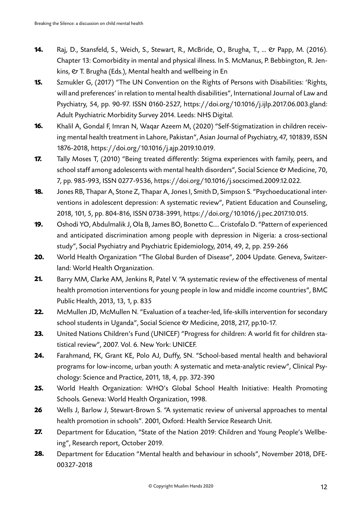- Raj, D., Stansfeld, S., Weich, S., Stewart, R., McBride, O., Brugha, T., ... & Papp, M. (2016). Chapter 13: Comorbidity in mental and physical illness. In S. McManus, P. Bebbington, R. Jenkins,  $\mathfrak{G}$  T. Brugha (Eds.), Mental health and wellbeing in En **14.**
- Szmukler G, (2017) "The UN Convention on the Rights of Persons with Disabilities: 'Rights, will and preferences' in relation to mental health disabilities", International Journal of Law and Psychiatry, 54, pp. 90-97. ISSN 0160-2527, https://doi.org/10.1016/j.ijlp.2017.06.003.gland: Adult Psychiatric Morbidity Survey 2014. Leeds: NHS Digital. **15.**
- Khalil A, Gondal F, Imran N, Waqar Azeem M, (2020) "Self-Stigmatization in children receiving mental health treatment in Lahore, Pakistan", Asian Journal of Psychiatry, 47, 101839, ISSN 1876-2018, https://doi.org/10.1016/j.ajp.2019.10.019. **16.**
- Tally Moses T, (2010) "Being treated differently: Stigma experiences with family, peers, and school staff among adolescents with mental health disorders", Social Science & Medicine, 70, 7, pp. 985-993, ISSN 0277-9536, https://doi.org/10.1016/j.socscimed.2009.12.022. **17.**
- Jones RB, Thapar A, Stone Z, Thapar A, Jones I, Smith D, Simpson S. "Psychoeducational interventions in adolescent depression: A systematic review", Patient Education and Counseling, 2018, 101, 5, pp. 804-816, ISSN 0738-3991, https://doi.org/10.1016/j.pec.2017.10.015. **18.**
- Oshodi YO, Abdulmalik J, Ola B, James BO, Bonetto C…. Cristofalo D. "Pattern of experienced and anticipated discrimination among people with depression in Nigeria: a cross-sectional study", Social Psychiatry and Psychiatric Epidemiology, 2014, 49, 2, pp. 259-266 **19.**
- World Health Organization "The Global Burden of Disease", 2004 Update. Geneva, Switzerland: World Health Organization. **20.**
- Barry MM, Clarke AM, Jenkins R, Patel V. "A systematic review of the effectiveness of mental health promotion interventions for young people in low and middle income countries", BMC Public Health, 2013, 13, 1, p. 835 **21.**
- McMullen JD, McMullen N. "Evaluation of a teacher-led, life-skills intervention for secondary school students in Uganda", Social Science & Medicine, 2018, 217, pp.10-17. **22.**
- United Nations Children's Fund (UNICEF) "Progress for children: A world fit for children statistical review", 2007. Vol. 6. New York: UNICEF. **23.**
- Farahmand, FK, Grant KE, Polo AJ, Duffy, SN. "School-based mental health and behavioral programs for low-income, urban youth: A systematic and meta-analytic review", Clinical Psychology: Science and Practice, 2011, 18, 4, pp. 372-390 **24.**
- World Health Organization: WHO's Global School Health Initiative: Health Promoting Schools. Geneva: World Health Organization, 1998. **25.**
- Wells J, Barlow J, Stewart-Brown S. "A systematic review of universal approaches to mental health promotion in schools". 2001, Oxford: Health Service Research Unit. **26**
- Department for Education, "State of the Nation 2019: Children and Young People's Wellbeing", Research report, October 2019. **27.**
- Department for Education "Mental health and behaviour in schools", November 2018, DFE-00327-2018 **28.**